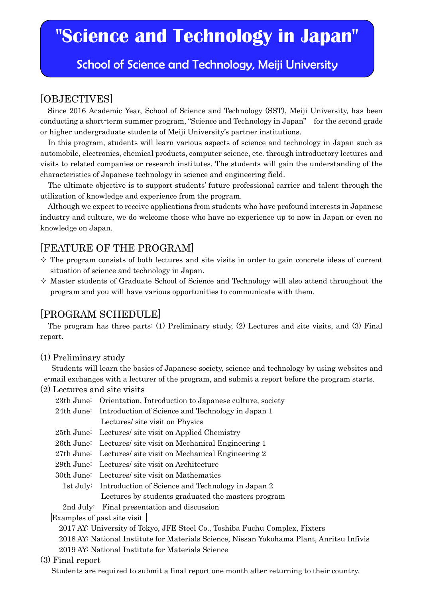# **"Science and Technology in Japan"**

## School of Science and Technology, Meiji University

## [OBJECTIVES]

Since 2016 Academic Year, School of Science and Technology (SST), Meiji University, has been conducting a short-term summer program, "Science and Technology in Japan" for the second grade or higher undergraduate students of Meiji University's partner institutions.

In this program, students will learn various aspects of science and technology in Japan such as automobile, electronics, chemical products, computer science, etc. through introductory lectures and visits to related companies or research institutes. The students will gain the understanding of the characteristics of Japanese technology in science and engineering field.

The ultimate objective is to support students' future professional carrier and talent through the utilization of knowledge and experience from the program.

Although we expect to receive applications from students who have profound interests in Japanese industry and culture, we do welcome those who have no experience up to now in Japan or even no knowledge on Japan.

## [FEATURE OF THE PROGRAM]

- $\Diamond$  The program consists of both lectures and site visits in order to gain concrete ideas of current situation of science and technology in Japan.
- $\Diamond$  Master students of Graduate School of Science and Technology will also attend throughout the program and you will have various opportunities to communicate with them.

## [PROGRAM SCHEDULE]

The program has three parts: (1) Preliminary study, (2) Lectures and site visits, and (3) Final report.

#### (1) Preliminary study

Students will learn the basics of Japanese society, science and technology by using websites and e-mail exchanges with a lecturer of the program, and submit a report before the program starts.

#### (2) Lectures and site visits

| 23th June: Orientation, Introduction to Japanese culture, society |
|-------------------------------------------------------------------|
| 24th June: Introduction of Science and Technology in Japan 1      |
| Lectures/ site visit on Physics                                   |
| 25th June: Lectures/ site visit on Applied Chemistry              |
| 26th June: Lectures/ site visit on Mechanical Engineering 1       |
| 27th June: Lectures/ site visit on Mechanical Engineering 2       |
| 29th June: Lectures/ site visit on Architecture                   |
| 30th June: Lectures/ site visit on Mathematics                    |
| 1st July: Introduction of Science and Technology in Japan 2       |
| Lectures by students graduated the masters program                |
|                                                                   |

2nd July: Final presentation and discussion

#### Examples of past site visit

2017 AY: University of Tokyo, JFE Steel Co., Toshiba Fuchu Complex, Fixters

2018 AY: National Institute for Materials Science, Nissan Yokohama Plant, Anritsu Infivis

2019 AY: National Institute for Materials Science

#### (3) Final report

Students are required to submit a final report one month after returning to their country.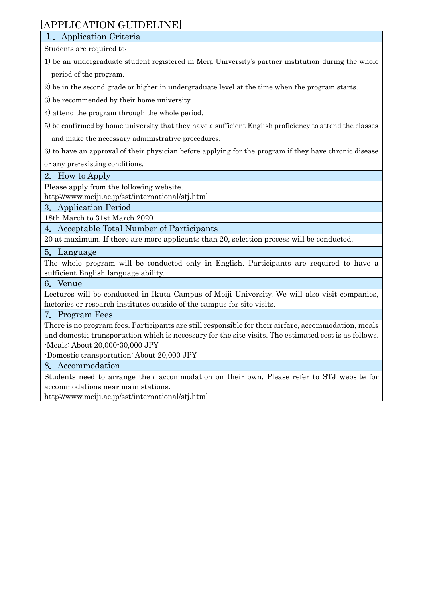## [APPLICATION GUIDELINE]

### **1.**Application Criteria

Students are required to;

- 1) be an undergraduate student registered in Meiji University's partner institution during the whole period of the program.
- 2) be in the second grade or higher in undergraduate level at the time when the program starts.
- 3) be recommended by their home university.
- 4) attend the program through the whole period.
- 5) be confirmed by home university that they have a sufficient English proficiency to attend the classes

and make the necessary administrative procedures.

6) to have an approval of their physician before applying for the program if they have chronic disease

or any pre-existing conditions.

2**.**How to Apply

Please apply from the following website.

<http://www.meiji.ac.jp/sst/international/stj.html>

3**.**Application Period

18th March to 31st March 2020

4**.**Acceptable Total Number of Participants

20 at maximum. If there are more applicants than 20, selection process will be conducted.

#### 5**.**Language

The whole program will be conducted only in English. Participants are required to have a sufficient English language ability.

#### 6**.**Venue

Lectures will be conducted in Ikuta Campus of Meiji University. We will also visit companies, factories or research institutes outside of the campus for site visits.

#### 7**.**Program Fees

There is no program fees. Participants are still responsible for their airfare, accommodation, meals and domestic transportation which is necessary for the site visits. The estimated cost is as follows. -Meals: About 20,000-30,000 JPY

-Domestic transportation: About 20,000 JPY

8**.**Accommodation

Students need to arrange their accommodation on their own. Please refer to STJ website for accommodations near main stations.

<http://www.meiji.ac.jp/sst/international/stj.html>